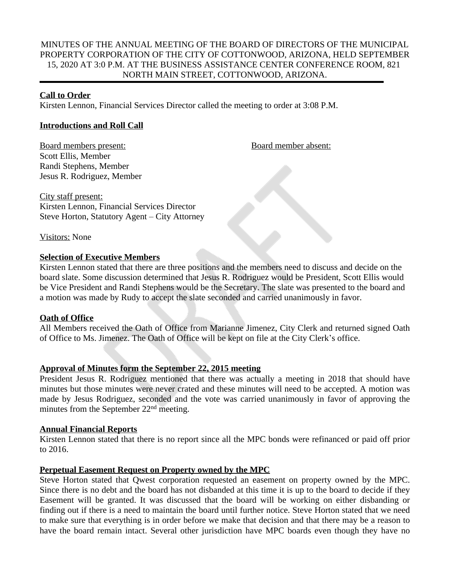# MINUTES OF THE ANNUAL MEETING OF THE BOARD OF DIRECTORS OF THE MUNICIPAL PROPERTY CORPORATION OF THE CITY OF COTTONWOOD, ARIZONA, HELD SEPTEMBER 15, 2020 AT 3:0 P.M. AT THE BUSINESS ASSISTANCE CENTER CONFERENCE ROOM, 821 NORTH MAIN STREET, COTTONWOOD, ARIZONA.

### **Call to Order**

Kirsten Lennon, Financial Services Director called the meeting to order at 3:08 P.M.

## **Introductions and Roll Call**

Board members present: Board member absent: Scott Ellis, Member Randi Stephens, Member Jesus R. Rodriguez, Member

City staff present: Kirsten Lennon, Financial Services Director Steve Horton, Statutory Agent – City Attorney

Visitors: None

## **Selection of Executive Members**

Kirsten Lennon stated that there are three positions and the members need to discuss and decide on the board slate. Some discussion determined that Jesus R. Rodriguez would be President, Scott Ellis would be Vice President and Randi Stephens would be the Secretary. The slate was presented to the board and a motion was made by Rudy to accept the slate seconded and carried unanimously in favor.

### **Oath of Office**

All Members received the Oath of Office from Marianne Jimenez, City Clerk and returned signed Oath of Office to Ms. Jimenez. The Oath of Office will be kept on file at the City Clerk's office.

# **Approval of Minutes form the September 22, 2015 meeting**

President Jesus R. Rodriguez mentioned that there was actually a meeting in 2018 that should have minutes but those minutes were never crated and these minutes will need to be accepted. A motion was made by Jesus Rodriguez, seconded and the vote was carried unanimously in favor of approving the minutes from the September 22nd meeting.

### **Annual Financial Reports**

Kirsten Lennon stated that there is no report since all the MPC bonds were refinanced or paid off prior to 2016.

# **Perpetual Easement Request on Property owned by the MPC**

Steve Horton stated that Qwest corporation requested an easement on property owned by the MPC. Since there is no debt and the board has not disbanded at this time it is up to the board to decide if they Easement will be granted. It was discussed that the board will be working on either disbanding or finding out if there is a need to maintain the board until further notice. Steve Horton stated that we need to make sure that everything is in order before we make that decision and that there may be a reason to have the board remain intact. Several other jurisdiction have MPC boards even though they have no